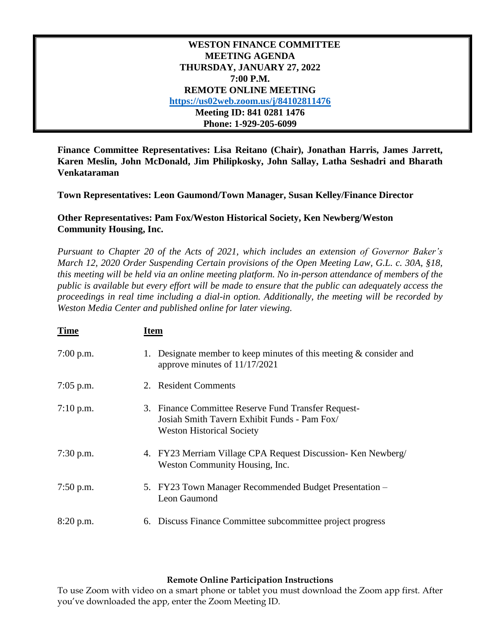## **WESTON FINANCE COMMITTEE MEETING AGENDA THURSDAY, JANUARY 27, 2022 7:00 P.M. REMOTE ONLINE MEETING <https://us02web.zoom.us/j/84102811476> Meeting ID: 841 0281 1476 Phone: 1-929-205-6099**

**Finance Committee Representatives: Lisa Reitano (Chair), Jonathan Harris, James Jarrett, Karen Meslin, John McDonald, Jim Philipkosky, John Sallay, Latha Seshadri and Bharath Venkataraman**

**Town Representatives: Leon Gaumond/Town Manager, Susan Kelley/Finance Director**

## **Other Representatives: Pam Fox/Weston Historical Society, Ken Newberg/Weston Community Housing, Inc.**

*Pursuant to Chapter 20 of the Acts of 2021, which includes an extension of Governor Baker's March 12, 2020 Order Suspending Certain provisions of the Open Meeting Law, G.L. c. 30A, §18, this meeting will be held via an online meeting platform. No in-person attendance of members of the public is available but every effort will be made to ensure that the public can adequately access the proceedings in real time including a dial-in option. Additionally, the meeting will be recorded by Weston Media Center and published online for later viewing.*

| <b>Time</b> | Item |                                                                                                                                         |
|-------------|------|-----------------------------------------------------------------------------------------------------------------------------------------|
| $7:00$ p.m. | 1.   | Designate member to keep minutes of this meeting $\&$ consider and<br>approve minutes of 11/17/2021                                     |
| $7:05$ p.m. |      | 2. Resident Comments                                                                                                                    |
| $7:10$ p.m. |      | 3. Finance Committee Reserve Fund Transfer Request-<br>Josiah Smith Tavern Exhibit Funds - Pam Fox/<br><b>Weston Historical Society</b> |
| $7:30$ p.m. |      | 4. FY23 Merriam Village CPA Request Discussion- Ken Newberg/<br>Weston Community Housing, Inc.                                          |
| $7:50$ p.m. |      | 5. FY23 Town Manager Recommended Budget Presentation -<br>Leon Gaumond                                                                  |
| 8:20 p.m.   |      | 6. Discuss Finance Committee subcommittee project progress                                                                              |

## **Remote Online Participation Instructions**

To use Zoom with video on a smart phone or tablet you must download the Zoom app first. After you've downloaded the app, enter the Zoom Meeting ID.